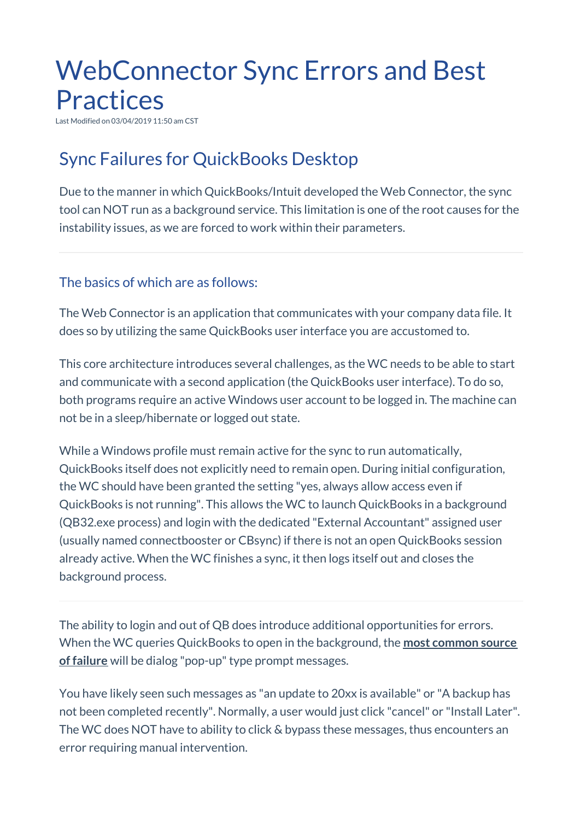## WebConnector Sync Errors and Best Practices

 $I$ odified on 03/04/2019 11:50 am $CST$ 

## Sync Failures for QuickBooks Desktop

Due to the manner in which QuickBooks/Intuit developed the Web Connector, the sync tool can NOT run as a background service. This limitation is one of the root causes for the instability issues, as we are forced to work within their parameters.

## The basics of which are as follows:

The Web Connector is an application that communicates with your company data file. It does so by utilizing the same QuickBooks user interface you are accustomed to.

This core architecture introduces several challenges, as the WC needs to be able to start and communicate with a second application (the QuickBooks user interface). To do so, both programs require an active Windows user account to be logged in. The machine can not be in a sleep/hibernate or logged out state.

While a Windows profile must remain active for the sync to run automatically, QuickBooks itself does not explicitly need to remain open. During initial configuration, the WC should have been granted the setting "yes, always allow access even if QuickBooks is not running". This allows the WC to launch QuickBooks in a background (QB32.exe process) and login with the dedicated "External Accountant" assigned user (usually named connectbooster or CBsync) if there is not an open QuickBooks session already active. When the WC finishes a sync, it then logs itself out and closes the background process.

The ability to login and out of QB does introduce additional opportunities for errors. When the WC queries QuickBooks to open in the background, the **most common source of failure** will be dialog "pop-up"type prompt messages.

You have likely seen such messages as "an update to 20xx is available" or "A backup has not been completed recently". Normally, a user would just click "cancel" or "Install Later". The WC does NOT have to ability to click & bypass these messages, thus encounters an error requiring manual intervention.